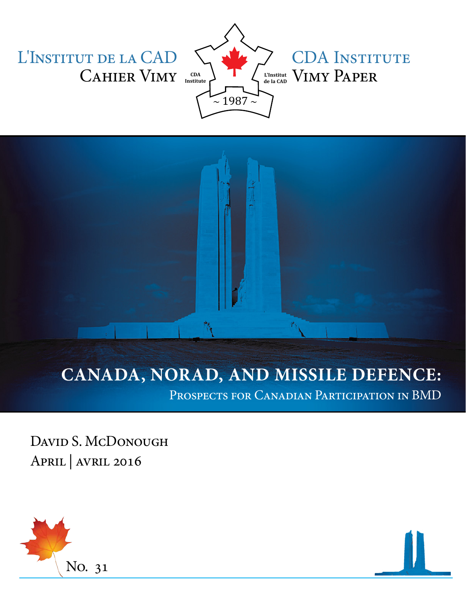L'Institut de la CAD CAHIER VIMY **CDA** 



# CDA INSTITUTE

## **CANADA, NORAD, AND MISSILE DEFENCE:**

Prospects for Canadian Participation in BMD

۴١,

David S. McDonough April | avril 2016

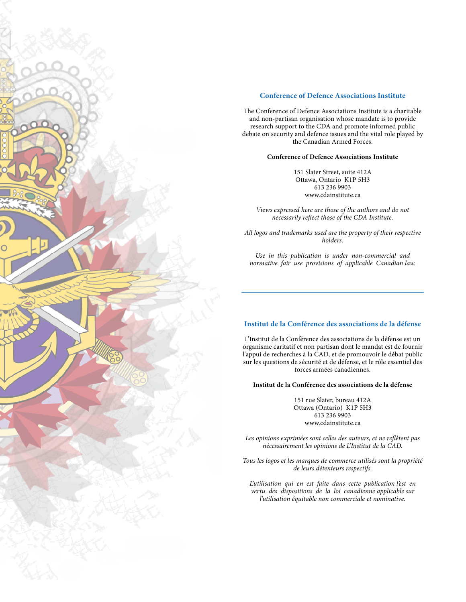

#### **Conference of Defence Associations Institute**

The Conference of Defence Associations Institute is a charitable and non-partisan organisation whose mandate is to provide research support to the CDA and promote informed public debate on security and defence issues and the vital role played by the Canadian Armed Forces.

#### **Conference of Defence Associations Institute**

151 Slater Street, suite 412A Ottawa, Ontario K1P 5H3 613 236 9903 www.cdainstitute.ca

*Views expressed here are those of the authors and do not necessarily reflect those of the CDA Institute.*

*All logos and trademarks used are the property of their respective holders.* 

*Use in this publication is under non-commercial and normative fair use provisions of applicable Canadian law.*

#### **Institut de la Conférence des associations de la défense**

L'Institut de la Conférence des associations de la défense est un organisme caritatif et non partisan dont le mandat est de fournir l'appui de recherches à la CAD, et de promouvoir le débat public sur les questions de sécurité et de défense, et le rôle essentiel des forces armées canadiennes.

#### **Institut de la Conférence des associations de la défense**

151 rue Slater, bureau 412A Ottawa (Ontario) K1P 5H3 613 236 9903 www.cdainstitute.ca

*Les opinions exprimées sont celles des auteurs, et ne reflètent pas nécessairement les opinions de L'Institut de la CAD.*

*Tous les logos et les marques de commerce utilisés sont la propriété de leurs détenteurs respectifs.*

*L'utilisation qui en est faite dans cette publication l'est en vertu des dispositions de la loi canadienne applicable sur l'utilisation équitable non commerciale et nominative.*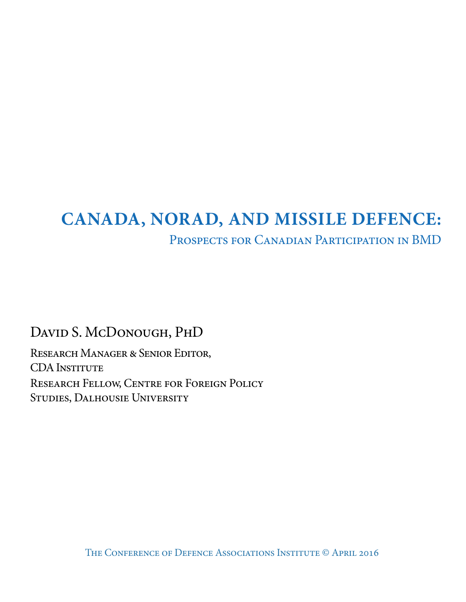## **CANADA, NORAD, AND MISSILE DEFENCE:**

### Prospects for Canadian Participation in BMD

David S. McDonough, PhD

Research Manager & Senior Editor, CDA INSTITUTE Research Fellow, Centre for Foreign Policy Studies, Dalhousie University

The Conference of Defence Associations Institute © April 2016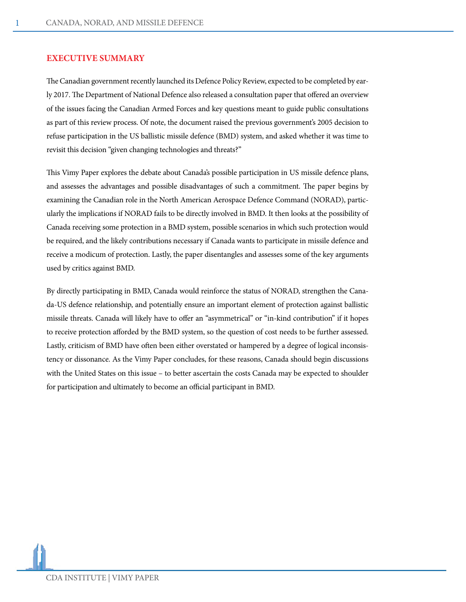#### **EXECUTIVE SUMMARY**

The Canadian government recently launched its Defence Policy Review, expected to be completed by early 2017. The Department of National Defence also released a consultation paper that offered an overview of the issues facing the Canadian Armed Forces and key questions meant to guide public consultations as part of this review process. Of note, the document raised the previous government's 2005 decision to refuse participation in the US ballistic missile defence (BMD) system, and asked whether it was time to revisit this decision "given changing technologies and threats?"

This Vimy Paper explores the debate about Canada's possible participation in US missile defence plans, and assesses the advantages and possible disadvantages of such a commitment. The paper begins by examining the Canadian role in the North American Aerospace Defence Command (NORAD), particularly the implications if NORAD fails to be directly involved in BMD. It then looks at the possibility of Canada receiving some protection in a BMD system, possible scenarios in which such protection would be required, and the likely contributions necessary if Canada wants to participate in missile defence and receive a modicum of protection. Lastly, the paper disentangles and assesses some of the key arguments used by critics against BMD.

By directly participating in BMD, Canada would reinforce the status of NORAD, strengthen the Canada-US defence relationship, and potentially ensure an important element of protection against ballistic missile threats. Canada will likely have to offer an "asymmetrical" or "in-kind contribution" if it hopes to receive protection afforded by the BMD system, so the question of cost needs to be further assessed. Lastly, criticism of BMD have often been either overstated or hampered by a degree of logical inconsistency or dissonance. As the Vimy Paper concludes, for these reasons, Canada should begin discussions with the United States on this issue – to better ascertain the costs Canada may be expected to shoulder for participation and ultimately to become an official participant in BMD.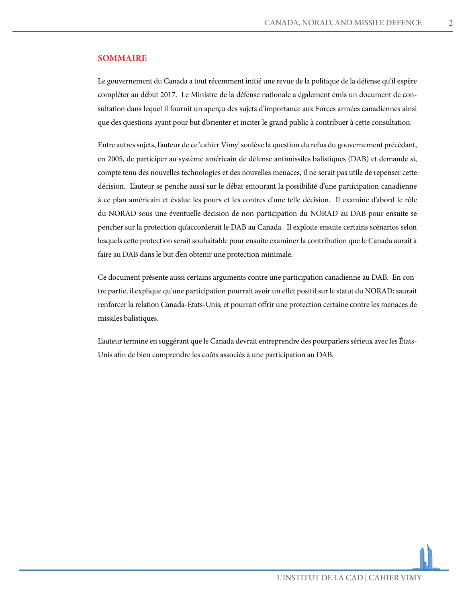#### **SOMMAIRE**

Le gouvernement du Canada a tout récemment initié une revue de la politique de la défense qu'il espère compléter au début 2017. Le Ministre de la défense nationale a également émis un document de consultation dans lequel il fournit un aperçu des sujets d'importance aux Forces armées canadiennes ainsi que des questions ayant pour but d'orienter et inciter le grand public à contribuer à cette consultation.

Entre autres sujets, l'auteur de ce 'cahier Vimy' soulève la question du refus du gouvernement précédant, en 2005, de participer au système américain de défense antimissiles balistiques (DAB) et demande si, compte tenu des nouvelles technologies et des nouvelles menaces, il ne serait pas utile de repenser cette décision. L'auteur se penche aussi sur le débat entourant la possibilité d'une participation canadienne à ce plan américain et évalue les pours et les contres d'une telle décision. Il examine d'abord le rôle du NORAD sous une éventuelle décision de non-participation du NORAD au DAB pour ensuite se pencher sur la protection qu'accorderait le DAB au Canada. Il exploite ensuite certains scénarios selon lesquels cette protection serait souhaitable pour ensuite examiner la contribution que le Canada aurait à faire au DAB dans le but d'en obtenir une protection minimale.

Ce document présente aussi certains arguments contre une participation canadienne au DAB. En contre partie, il explique qu'une participation pourrait avoir un effet positif sur le statut du NORAD; saurait renforcer la relation Canada-États-Unis; et pourrait offrir une protection certaine contre les menaces de missiles balistiques.

L'auteur termine en suggérant que le Canada devrait entreprendre des pourparlers sérieux avec les États-Unis afin de bien comprendre les coûts associés à une participation au DAB.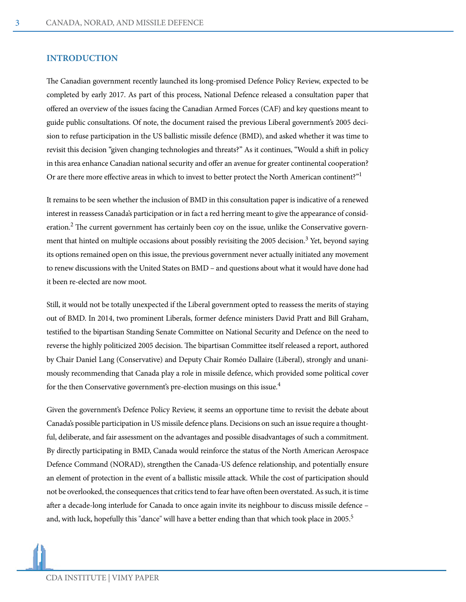#### **INTRODUCTION**

The Canadian government recently launched its long-promised Defence Policy Review, expected to be completed by early 2017. As part of this process, National Defence released a consultation paper that offered an overview of the issues facing the Canadian Armed Forces (CAF) and key questions meant to guide public consultations. Of note, the document raised the previous Liberal government's 2005 decision to refuse participation in the US ballistic missile defence (BMD), and asked whether it was time to revisit this decision "given changing technologies and threats?" As it continues, "Would a shift in policy in this area enhance Canadian national security and offer an avenue for greater continental cooperation? Or are there more effective areas in which to invest to better protect the North American continent?"1

It remains to be seen whether the inclusion of BMD in this consultation paper is indicative of a renewed interest in reassess Canada's participation or in fact a red herring meant to give the appearance of consideration.<sup>2</sup> The current government has certainly been coy on the issue, unlike the Conservative government that hinted on multiple occasions about possibly revisiting the 2005 decision.<sup>3</sup> Yet, beyond saying its options remained open on this issue, the previous government never actually initiated any movement to renew discussions with the United States on BMD – and questions about what it would have done had it been re-elected are now moot.

Still, it would not be totally unexpected if the Liberal government opted to reassess the merits of staying out of BMD. In 2014, two prominent Liberals, former defence ministers David Pratt and Bill Graham, testified to the bipartisan Standing Senate Committee on National Security and Defence on the need to reverse the highly politicized 2005 decision. The bipartisan Committee itself released a report, authored by Chair Daniel Lang (Conservative) and Deputy Chair Roméo Dallaire (Liberal), strongly and unanimously recommending that Canada play a role in missile defence, which provided some political cover for the then Conservative government's pre-election musings on this issue.<sup>4</sup>

Given the government's Defence Policy Review, it seems an opportune time to revisit the debate about Canada's possible participation in US missile defence plans. Decisions on such an issue require a thoughtful, deliberate, and fair assessment on the advantages and possible disadvantages of such a commitment. By directly participating in BMD, Canada would reinforce the status of the North American Aerospace Defence Command (NORAD), strengthen the Canada-US defence relationship, and potentially ensure an element of protection in the event of a ballistic missile attack. While the cost of participation should not be overlooked, the consequences that critics tend to fear have often been overstated. As such, it is time after a decade-long interlude for Canada to once again invite its neighbour to discuss missile defence – and, with luck, hopefully this "dance" will have a better ending than that which took place in 2005.<sup>5</sup>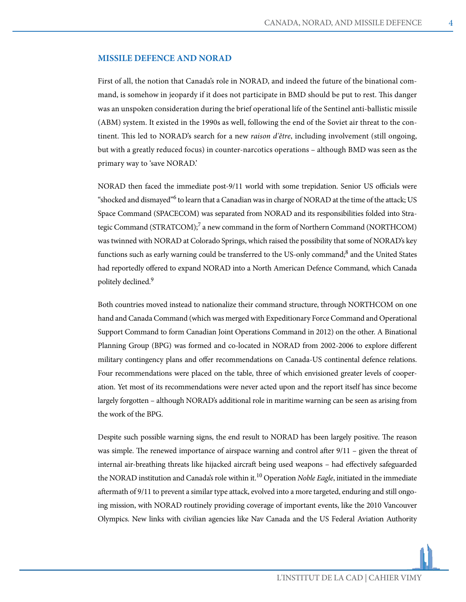#### **MISSILE DEFENCE AND NORAD**

First of all, the notion that Canada's role in NORAD, and indeed the future of the binational command, is somehow in jeopardy if it does not participate in BMD should be put to rest. This danger was an unspoken consideration during the brief operational life of the Sentinel anti-ballistic missile (ABM) system. It existed in the 1990s as well, following the end of the Soviet air threat to the continent. This led to NORAD's search for a new *raison d'être*, including involvement (still ongoing, but with a greatly reduced focus) in counter-narcotics operations – although BMD was seen as the primary way to 'save NORAD.'

NORAD then faced the immediate post-9/11 world with some trepidation. Senior US officials were "shocked and dismayed"<sup>6</sup> to learn that a Canadian was in charge of NORAD at the time of the attack; US Space Command (SPACECOM) was separated from NORAD and its responsibilities folded into Strategic Command (STRATCOM);<sup>7</sup> a new command in the form of Northern Command (NORTHCOM) was twinned with NORAD at Colorado Springs, which raised the possibility that some of NORAD's key functions such as early warning could be transferred to the US-only command;<sup>8</sup> and the United States had reportedly offered to expand NORAD into a North American Defence Command, which Canada politely declined.<sup>9</sup>

Both countries moved instead to nationalize their command structure, through NORTHCOM on one hand and Canada Command (which was merged with Expeditionary Force Command and Operational Support Command to form Canadian Joint Operations Command in 2012) on the other. A Binational Planning Group (BPG) was formed and co-located in NORAD from 2002-2006 to explore different military contingency plans and offer recommendations on Canada-US continental defence relations. Four recommendations were placed on the table, three of which envisioned greater levels of cooperation. Yet most of its recommendations were never acted upon and the report itself has since become largely forgotten – although NORAD's additional role in maritime warning can be seen as arising from the work of the BPG.

Despite such possible warning signs, the end result to NORAD has been largely positive. The reason was simple. The renewed importance of airspace warning and control after 9/11 – given the threat of internal air-breathing threats like hijacked aircraft being used weapons – had effectively safeguarded the NORAD institution and Canada's role within it.10 Operation *Noble Eagle*, initiated in the immediate aftermath of 9/11 to prevent a similar type attack, evolved into a more targeted, enduring and still ongoing mission, with NORAD routinely providing coverage of important events, like the 2010 Vancouver Olympics. New links with civilian agencies like Nav Canada and the US Federal Aviation Authority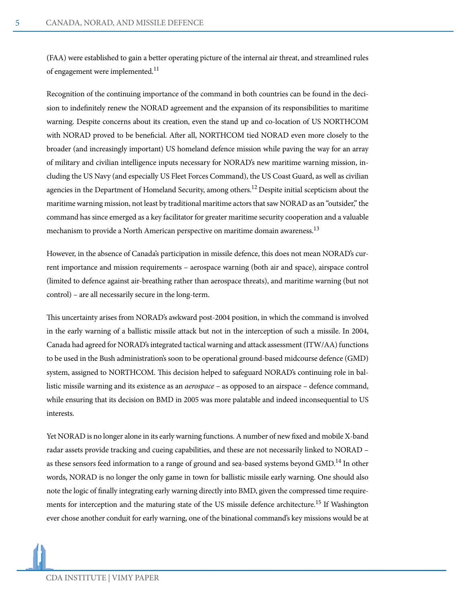(FAA) were established to gain a better operating picture of the internal air threat, and streamlined rules of engagement were implemented.<sup>11</sup>

Recognition of the continuing importance of the command in both countries can be found in the decision to indefinitely renew the NORAD agreement and the expansion of its responsibilities to maritime warning. Despite concerns about its creation, even the stand up and co-location of US NORTHCOM with NORAD proved to be beneficial. After all, NORTHCOM tied NORAD even more closely to the broader (and increasingly important) US homeland defence mission while paving the way for an array of military and civilian intelligence inputs necessary for NORAD's new maritime warning mission, including the US Navy (and especially US Fleet Forces Command), the US Coast Guard, as well as civilian agencies in the Department of Homeland Security, among others.<sup>12</sup> Despite initial scepticism about the maritime warning mission, not least by traditional maritime actors that saw NORAD as an "outsider," the command has since emerged as a key facilitator for greater maritime security cooperation and a valuable mechanism to provide a North American perspective on maritime domain awareness.<sup>13</sup>

However, in the absence of Canada's participation in missile defence, this does not mean NORAD's current importance and mission requirements – aerospace warning (both air and space), airspace control (limited to defence against air-breathing rather than aerospace threats), and maritime warning (but not control) – are all necessarily secure in the long-term.

This uncertainty arises from NORAD's awkward post-2004 position, in which the command is involved in the early warning of a ballistic missile attack but not in the interception of such a missile. In 2004, Canada had agreed for NORAD's integrated tactical warning and attack assessment (ITW/AA) functions to be used in the Bush administration's soon to be operational ground-based midcourse defence (GMD) system, assigned to NORTHCOM. This decision helped to safeguard NORAD's continuing role in ballistic missile warning and its existence as an *aerospace* – as opposed to an airspace – defence command, while ensuring that its decision on BMD in 2005 was more palatable and indeed inconsequential to US interests.

Yet NORAD is no longer alone in its early warning functions. A number of new fixed and mobile X-band radar assets provide tracking and cueing capabilities, and these are not necessarily linked to NORAD – as these sensors feed information to a range of ground and sea-based systems beyond GMD.<sup>14</sup> In other words, NORAD is no longer the only game in town for ballistic missile early warning. One should also note the logic of finally integrating early warning directly into BMD, given the compressed time requirements for interception and the maturing state of the US missile defence architecture.<sup>15</sup> If Washington ever chose another conduit for early warning, one of the binational command's key missions would be at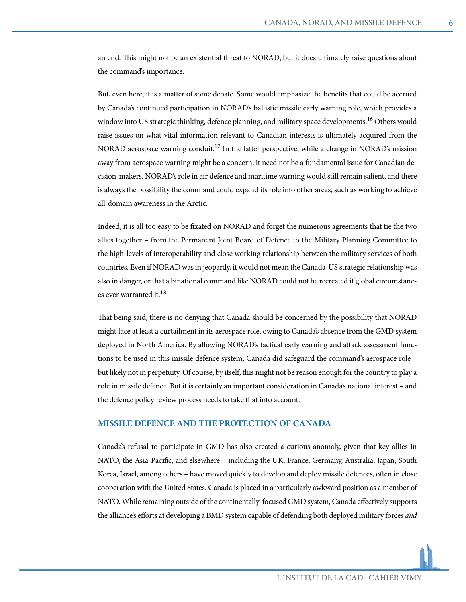an end. This might not be an existential threat to NORAD, but it does ultimately raise questions about the command's importance.

But, even here, it is a matter of some debate. Some would emphasize the benefits that could be accrued by Canada's continued participation in NORAD's ballistic missile early warning role, which provides a window into US strategic thinking, defence planning, and military space developments.<sup>16</sup> Others would raise issues on what vital information relevant to Canadian interests is ultimately acquired from the NORAD aerospace warning conduit.<sup>17</sup> In the latter perspective, while a change in NORAD's mission away from aerospace warning might be a concern, it need not be a fundamental issue for Canadian decision-makers. NORAD's role in air defence and maritime warning would still remain salient, and there is always the possibility the command could expand its role into other areas, such as working to achieve all-domain awareness in the Arctic.

Indeed, it is all too easy to be fixated on NORAD and forget the numerous agreements that tie the two allies together – from the Permanent Joint Board of Defence to the Military Planning Committee to the high-levels of interoperability and close working relationship between the military services of both countries. Even if NORAD was in jeopardy, it would not mean the Canada-US strategic relationship was also in danger, or that a binational command like NORAD could not be recreated if global circumstances ever warranted it.<sup>18</sup>

That being said, there is no denying that Canada should be concerned by the possibility that NORAD might face at least a curtailment in its aerospace role, owing to Canada's absence from the GMD system deployed in North America. By allowing NORAD's tactical early warning and attack assessment functions to be used in this missile defence system, Canada did safeguard the command's aerospace role – but likely not in perpetuity. Of course, by itself, this might not be reason enough for the country to play a role in missile defence. But it is certainly an important consideration in Canada's national interest – and the defence policy review process needs to take that into account.

#### **MISSILE DEFENCE AND THE PROTECTION OF CANADA**

Canada's refusal to participate in GMD has also created a curious anomaly, given that key allies in NATO, the Asia-Pacific, and elsewhere – including the UK, France, Germany, Australia, Japan, South Korea, Israel, among others – have moved quickly to develop and deploy missile defences, often in close cooperation with the United States. Canada is placed in a particularly awkward position as a member of NATO. While remaining outside of the continentally-focused GMD system, Canada effectively supports the alliance's efforts at developing a BMD system capable of defending both deployed military forces *and*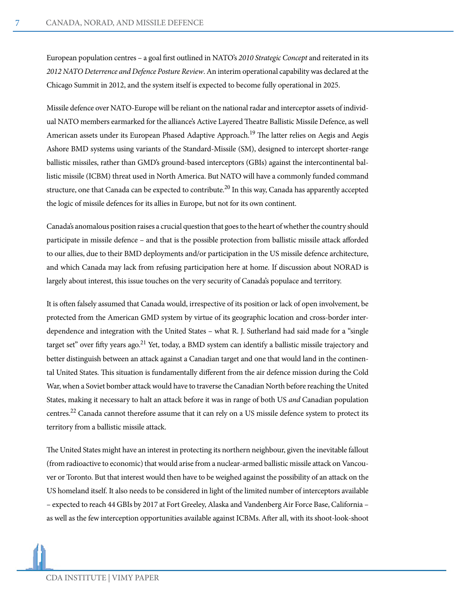European population centres – a goal first outlined in NATO's *2010 Strategic Concept* and reiterated in its *2012 NATO Deterrence and Defence Posture Review*. An interim operational capability was declared at the Chicago Summit in 2012, and the system itself is expected to become fully operational in 2025.

Missile defence over NATO-Europe will be reliant on the national radar and interceptor assets of individual NATO members earmarked for the alliance's Active Layered Theatre Ballistic Missile Defence, as well American assets under its European Phased Adaptive Approach.<sup>19</sup> The latter relies on Aegis and Aegis Ashore BMD systems using variants of the Standard-Missile (SM), designed to intercept shorter-range ballistic missiles, rather than GMD's ground-based interceptors (GBIs) against the intercontinental ballistic missile (ICBM) threat used in North America. But NATO will have a commonly funded command structure, one that Canada can be expected to contribute.<sup>20</sup> In this way, Canada has apparently accepted the logic of missile defences for its allies in Europe, but not for its own continent.

Canada's anomalous position raises a crucial question that goes to the heart of whether the country should participate in missile defence – and that is the possible protection from ballistic missile attack afforded to our allies, due to their BMD deployments and/or participation in the US missile defence architecture, and which Canada may lack from refusing participation here at home. If discussion about NORAD is largely about interest, this issue touches on the very security of Canada's populace and territory.

It is often falsely assumed that Canada would, irrespective of its position or lack of open involvement, be protected from the American GMD system by virtue of its geographic location and cross-border interdependence and integration with the United States – what R. J. Sutherland had said made for a "single target set" over fifty years ago.<sup>21</sup> Yet, today, a BMD system can identify a ballistic missile trajectory and better distinguish between an attack against a Canadian target and one that would land in the continental United States. This situation is fundamentally different from the air defence mission during the Cold War, when a Soviet bomber attack would have to traverse the Canadian North before reaching the United States, making it necessary to halt an attack before it was in range of both US *and* Canadian population centres.22 Canada cannot therefore assume that it can rely on a US missile defence system to protect its territory from a ballistic missile attack.

The United States might have an interest in protecting its northern neighbour, given the inevitable fallout (from radioactive to economic) that would arise from a nuclear-armed ballistic missile attack on Vancouver or Toronto. But that interest would then have to be weighed against the possibility of an attack on the US homeland itself. It also needs to be considered in light of the limited number of interceptors available – expected to reach 44 GBIs by 2017 at Fort Greeley, Alaska and Vandenberg Air Force Base, California – as well as the few interception opportunities available against ICBMs.After all, with its shoot-look-shoot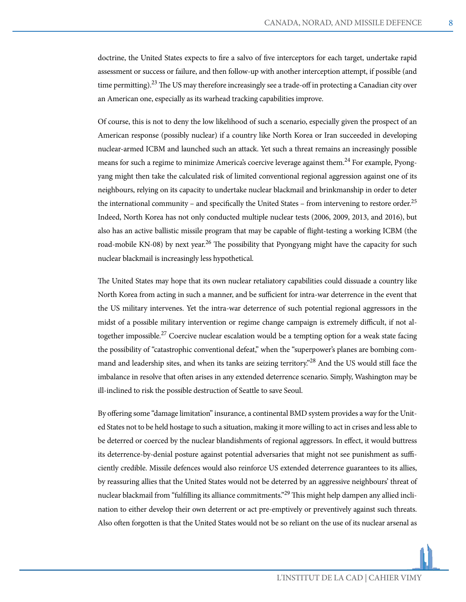doctrine, the United States expects to fire a salvo of five interceptors for each target, undertake rapid assessment or success or failure, and then follow-up with another interception attempt, if possible (and time permitting).<sup>23</sup> The US may therefore increasingly see a trade-off in protecting a Canadian city over an American one, especially as its warhead tracking capabilities improve.

Of course, this is not to deny the low likelihood of such a scenario, especially given the prospect of an American response (possibly nuclear) if a country like North Korea or Iran succeeded in developing nuclear-armed ICBM and launched such an attack. Yet such a threat remains an increasingly possible means for such a regime to minimize America's coercive leverage against them.<sup>24</sup> For example, Pyongyang might then take the calculated risk of limited conventional regional aggression against one of its neighbours, relying on its capacity to undertake nuclear blackmail and brinkmanship in order to deter the international community – and specifically the United States – from intervening to restore order.<sup>25</sup> Indeed, North Korea has not only conducted multiple nuclear tests (2006, 2009, 2013, and 2016), but also has an active ballistic missile program that may be capable of flight-testing a working ICBM (the road-mobile KN-08) by next year.<sup>26</sup> The possibility that Pyongyang might have the capacity for such nuclear blackmail is increasingly less hypothetical.

The United States may hope that its own nuclear retaliatory capabilities could dissuade a country like North Korea from acting in such a manner, and be sufficient for intra-war deterrence in the event that the US military intervenes. Yet the intra-war deterrence of such potential regional aggressors in the midst of a possible military intervention or regime change campaign is extremely difficult, if not altogether impossible.<sup>27</sup> Coercive nuclear escalation would be a tempting option for a weak state facing the possibility of "catastrophic conventional defeat," when the "superpower's planes are bombing command and leadership sites, and when its tanks are seizing territory."<sup>28</sup> And the US would still face the imbalance in resolve that often arises in any extended deterrence scenario. Simply, Washington may be ill-inclined to risk the possible destruction of Seattle to save Seoul.

By offering some "damage limitation" insurance, a continental BMD system provides a way for the United States not to be held hostage to such a situation, making it more willing to act in crises and less able to be deterred or coerced by the nuclear blandishments of regional aggressors. In effect, it would buttress its deterrence-by-denial posture against potential adversaries that might not see punishment as sufficiently credible. Missile defences would also reinforce US extended deterrence guarantees to its allies, by reassuring allies that the United States would not be deterred by an aggressive neighbours' threat of nuclear blackmail from "fulfilling its alliance commitments."<sup>29</sup> This might help dampen any allied inclination to either develop their own deterrent or act pre-emptively or preventively against such threats. Also often forgotten is that the United States would not be so reliant on the use of its nuclear arsenal as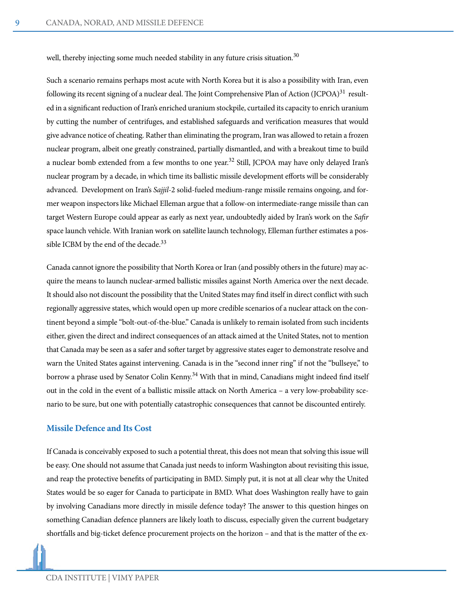well, thereby injecting some much needed stability in any future crisis situation.<sup>30</sup>

Such a scenario remains perhaps most acute with North Korea but it is also a possibility with Iran, even following its recent signing of a nuclear deal. The Joint Comprehensive Plan of Action (JCPOA)<sup>31</sup> resulted in a significant reduction of Iran's enriched uranium stockpile, curtailed its capacity to enrich uranium by cutting the number of centrifuges, and established safeguards and verification measures that would give advance notice of cheating. Rather than eliminating the program, Iran was allowed to retain a frozen nuclear program, albeit one greatly constrained, partially dismantled, and with a breakout time to build a nuclear bomb extended from a few months to one year.<sup>32</sup> Still, JCPOA may have only delayed Iran's nuclear program by a decade, in which time its ballistic missile development efforts will be considerably advanced. Development on Iran's *Sajjil*-2 solid-fueled medium-range missile remains ongoing, and former weapon inspectors like Michael Elleman argue that a follow-on intermediate-range missile than can target Western Europe could appear as early as next year, undoubtedly aided by Iran's work on the *Safir* space launch vehicle. With Iranian work on satellite launch technology, Elleman further estimates a possible ICBM by the end of the decade. $33$ 

Canada cannot ignore the possibility that North Korea or Iran (and possibly others in the future) may acquire the means to launch nuclear-armed ballistic missiles against North America over the next decade. It should also not discount the possibility that the United States may find itself in direct conflict with such regionally aggressive states, which would open up more credible scenarios of a nuclear attack on the continent beyond a simple "bolt-out-of-the-blue." Canada is unlikely to remain isolated from such incidents either, given the direct and indirect consequences of an attack aimed at the United States, not to mention that Canada may be seen as a safer and softer target by aggressive states eager to demonstrate resolve and warn the United States against intervening. Canada is in the "second inner ring" if not the "bullseye," to borrow a phrase used by Senator Colin Kenny.<sup>34</sup> With that in mind, Canadians might indeed find itself out in the cold in the event of a ballistic missile attack on North America – a very low-probability scenario to be sure, but one with potentially catastrophic consequences that cannot be discounted entirely.

#### **Missile Defence and Its Cost**

If Canada is conceivably exposed to such a potential threat, this does not mean that solving this issue will be easy. One should not assume that Canada just needs to inform Washington about revisiting this issue, and reap the protective benefits of participating in BMD. Simply put, it is not at all clear why the United States would be so eager for Canada to participate in BMD. What does Washington really have to gain by involving Canadians more directly in missile defence today? The answer to this question hinges on something Canadian defence planners are likely loath to discuss, especially given the current budgetary shortfalls and big-ticket defence procurement projects on the horizon – and that is the matter of the ex-

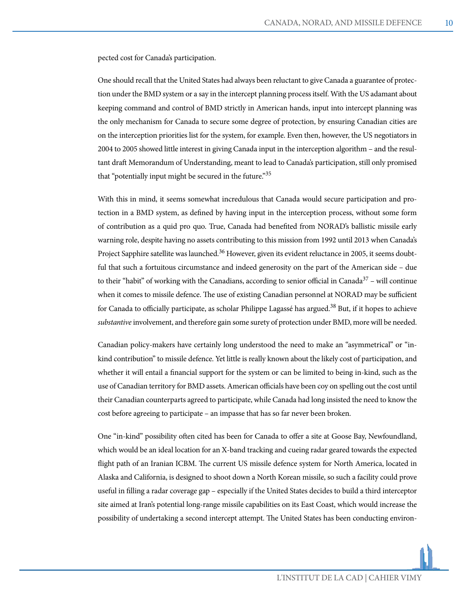pected cost for Canada's participation.

One should recall that the United States had always been reluctant to give Canada a guarantee of protection under the BMD system or a say in the intercept planning process itself. With the US adamant about keeping command and control of BMD strictly in American hands, input into intercept planning was the only mechanism for Canada to secure some degree of protection, by ensuring Canadian cities are on the interception priorities list for the system, for example. Even then, however, the US negotiators in 2004 to 2005 showed little interest in giving Canada input in the interception algorithm – and the resultant draft Memorandum of Understanding, meant to lead to Canada's participation, still only promised that "potentially input might be secured in the future."35

With this in mind, it seems somewhat incredulous that Canada would secure participation and protection in a BMD system, as defined by having input in the interception process, without some form of contribution as a quid pro quo. True, Canada had benefited from NORAD's ballistic missile early warning role, despite having no assets contributing to this mission from 1992 until 2013 when Canada's Project Sapphire satellite was launched.<sup>36</sup> However, given its evident reluctance in 2005, it seems doubtful that such a fortuitous circumstance and indeed generosity on the part of the American side – due to their "habit" of working with the Canadians, according to senior official in Canada $37$  – will continue when it comes to missile defence. The use of existing Canadian personnel at NORAD may be sufficient for Canada to officially participate, as scholar Philippe Lagassé has argued.<sup>38</sup> But, if it hopes to achieve *substantive* involvement, and therefore gain some surety of protection under BMD, more will be needed.

Canadian policy-makers have certainly long understood the need to make an "asymmetrical" or "inkind contribution" to missile defence. Yet little is really known about the likely cost of participation, and whether it will entail a financial support for the system or can be limited to being in-kind, such as the use of Canadian territory for BMD assets. American officials have been coy on spelling out the cost until their Canadian counterparts agreed to participate, while Canada had long insisted the need to know the cost before agreeing to participate – an impasse that has so far never been broken.

One "in-kind" possibility often cited has been for Canada to offer a site at Goose Bay, Newfoundland, which would be an ideal location for an X-band tracking and cueing radar geared towards the expected flight path of an Iranian ICBM. The current US missile defence system for North America, located in Alaska and California, is designed to shoot down a North Korean missile, so such a facility could prove useful in filling a radar coverage gap – especially if the United States decides to build a third interceptor site aimed at Iran's potential long-range missile capabilities on its East Coast, which would increase the possibility of undertaking a second intercept attempt. The United States has been conducting environ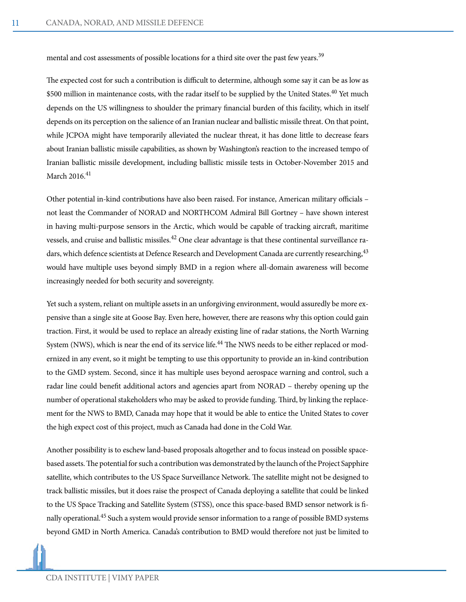mental and cost assessments of possible locations for a third site over the past few years.<sup>39</sup>

The expected cost for such a contribution is difficult to determine, although some say it can be as low as \$500 million in maintenance costs, with the radar itself to be supplied by the United States.<sup>40</sup> Yet much depends on the US willingness to shoulder the primary financial burden of this facility, which in itself depends on its perception on the salience of an Iranian nuclear and ballistic missile threat. On that point, while JCPOA might have temporarily alleviated the nuclear threat, it has done little to decrease fears about Iranian ballistic missile capabilities, as shown by Washington's reaction to the increased tempo of Iranian ballistic missile development, including ballistic missile tests in October-November 2015 and March 2016.<sup>41</sup>

Other potential in-kind contributions have also been raised. For instance, American military officials – not least the Commander of NORAD and NORTHCOM Admiral Bill Gortney – have shown interest in having multi-purpose sensors in the Arctic, which would be capable of tracking aircraft, maritime vessels, and cruise and ballistic missiles.<sup>42</sup> One clear advantage is that these continental surveillance radars, which defence scientists at Defence Research and Development Canada are currently researching, <sup>43</sup> would have multiple uses beyond simply BMD in a region where all-domain awareness will become increasingly needed for both security and sovereignty.

Yet such a system, reliant on multiple assets in an unforgiving environment, would assuredly be more expensive than a single site at Goose Bay. Even here, however, there are reasons why this option could gain traction. First, it would be used to replace an already existing line of radar stations, the North Warning System (NWS), which is near the end of its service life.<sup>44</sup> The NWS needs to be either replaced or modernized in any event, so it might be tempting to use this opportunity to provide an in-kind contribution to the GMD system. Second, since it has multiple uses beyond aerospace warning and control, such a radar line could benefit additional actors and agencies apart from NORAD – thereby opening up the number of operational stakeholders who may be asked to provide funding. Third, by linking the replacement for the NWS to BMD, Canada may hope that it would be able to entice the United States to cover the high expect cost of this project, much as Canada had done in the Cold War.

Another possibility is to eschew land-based proposals altogether and to focus instead on possible spacebased assets. The potential for such a contribution was demonstrated by the launch of the Project Sapphire satellite, which contributes to the US Space Surveillance Network. The satellite might not be designed to track ballistic missiles, but it does raise the prospect of Canada deploying a satellite that could be linked to the US Space Tracking and Satellite System (STSS), once this space-based BMD sensor network is finally operational. $^{45}$  Such a system would provide sensor information to a range of possible BMD systems beyond GMD in North America. Canada's contribution to BMD would therefore not just be limited to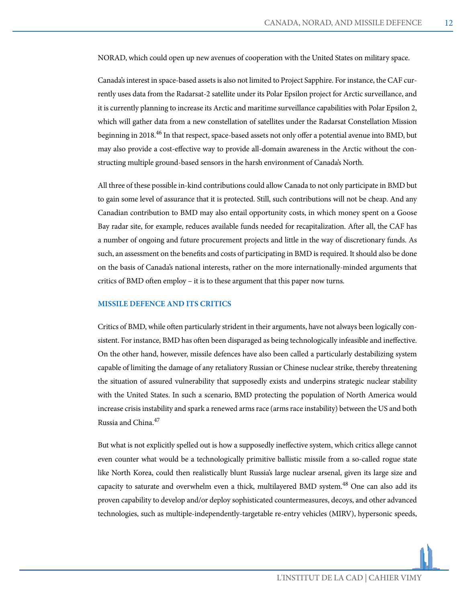NORAD, which could open up new avenues of cooperation with the United States on military space.

Canada's interest in space-based assets is also not limited to Project Sapphire. For instance, the CAF currently uses data from the Radarsat-2 satellite under its Polar Epsilon project for Arctic surveillance, and it is currently planning to increase its Arctic and maritime surveillance capabilities with Polar Epsilon 2, which will gather data from a new constellation of satellites under the Radarsat Constellation Mission beginning in 2018.<sup>46</sup> In that respect, space-based assets not only offer a potential avenue into BMD, but may also provide a cost-effective way to provide all-domain awareness in the Arctic without the constructing multiple ground-based sensors in the harsh environment of Canada's North.

All three of these possible in-kind contributions could allow Canada to not only participate in BMD but to gain some level of assurance that it is protected. Still, such contributions will not be cheap. And any Canadian contribution to BMD may also entail opportunity costs, in which money spent on a Goose Bay radar site, for example, reduces available funds needed for recapitalization. After all, the CAF has a number of ongoing and future procurement projects and little in the way of discretionary funds. As such, an assessment on the benefits and costs of participating in BMD is required. It should also be done on the basis of Canada's national interests, rather on the more internationally-minded arguments that critics of BMD often employ – it is to these argument that this paper now turns.

#### **MISSILE DEFENCE AND ITS CRITICS**

Critics of BMD, while often particularly strident in their arguments, have not always been logically consistent. For instance, BMD has often been disparaged as being technologically infeasible and ineffective. On the other hand, however, missile defences have also been called a particularly destabilizing system capable of limiting the damage of any retaliatory Russian or Chinese nuclear strike, thereby threatening the situation of assured vulnerability that supposedly exists and underpins strategic nuclear stability with the United States. In such a scenario, BMD protecting the population of North America would increase crisis instability and spark a renewed arms race (arms race instability) between the US and both Russia and China.47

But what is not explicitly spelled out is how a supposedly ineffective system, which critics allege cannot even counter what would be a technologically primitive ballistic missile from a so-called rogue state like North Korea, could then realistically blunt Russia's large nuclear arsenal, given its large size and capacity to saturate and overwhelm even a thick, multilayered BMD system.<sup>48</sup> One can also add its proven capability to develop and/or deploy sophisticated countermeasures, decoys, and other advanced technologies, such as multiple-independently-targetable re-entry vehicles (MIRV), hypersonic speeds,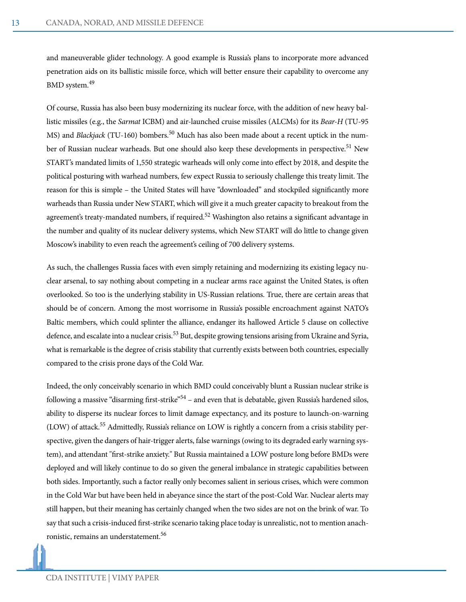and maneuverable glider technology. A good example is Russia's plans to incorporate more advanced penetration aids on its ballistic missile force, which will better ensure their capability to overcome any BMD system.49

Of course, Russia has also been busy modernizing its nuclear force, with the addition of new heavy ballistic missiles (e.g., the *Sarmat* ICBM) and air-launched cruise missiles (ALCMs) for its *Bear-H* (TU-95 MS) and *Blackjack* (TU-160) bombers.<sup>50</sup> Much has also been made about a recent uptick in the number of Russian nuclear warheads. But one should also keep these developments in perspective.<sup>51</sup> New START's mandated limits of 1,550 strategic warheads will only come into effect by 2018, and despite the political posturing with warhead numbers, few expect Russia to seriously challenge this treaty limit. The reason for this is simple – the United States will have "downloaded" and stockpiled significantly more warheads than Russia under New START, which will give it a much greater capacity to breakout from the agreement's treaty-mandated numbers, if required.<sup>52</sup> Washington also retains a significant advantage in the number and quality of its nuclear delivery systems, which New START will do little to change given Moscow's inability to even reach the agreement's ceiling of 700 delivery systems.

As such, the challenges Russia faces with even simply retaining and modernizing its existing legacy nuclear arsenal, to say nothing about competing in a nuclear arms race against the United States, is often overlooked. So too is the underlying stability in US-Russian relations. True, there are certain areas that should be of concern. Among the most worrisome in Russia's possible encroachment against NATO's Baltic members, which could splinter the alliance, endanger its hallowed Article 5 clause on collective defence, and escalate into a nuclear crisis.<sup>53</sup> But, despite growing tensions arising from Ukraine and Syria, what is remarkable is the degree of crisis stability that currently exists between both countries, especially compared to the crisis prone days of the Cold War.

Indeed, the only conceivably scenario in which BMD could conceivably blunt a Russian nuclear strike is following a massive "disarming first-strike"<sup>54</sup> – and even that is debatable, given Russia's hardened silos, ability to disperse its nuclear forces to limit damage expectancy, and its posture to launch-on-warning (LOW) of attack.<sup>55</sup> Admittedly, Russia's reliance on LOW is rightly a concern from a crisis stability perspective, given the dangers of hair-trigger alerts, false warnings (owing to its degraded early warning system), and attendant "first-strike anxiety." But Russia maintained a LOW posture long before BMDs were deployed and will likely continue to do so given the general imbalance in strategic capabilities between both sides. Importantly, such a factor really only becomes salient in serious crises, which were common in the Cold War but have been held in abeyance since the start of the post-Cold War. Nuclear alerts may still happen, but their meaning has certainly changed when the two sides are not on the brink of war. To say that such a crisis-induced first-strike scenario taking place today is unrealistic, not to mention anachronistic, remains an understatement.56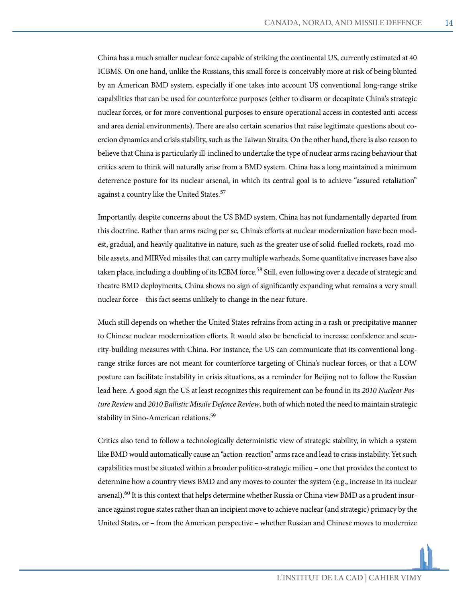China has a much smaller nuclear force capable of striking the continental US, currently estimated at 40 ICBMS. On one hand, unlike the Russians, this small force is conceivably more at risk of being blunted by an American BMD system, especially if one takes into account US conventional long-range strike capabilities that can be used for counterforce purposes (either to disarm or decapitate China's strategic nuclear forces, or for more conventional purposes to ensure operational access in contested anti-access and area denial environments). There are also certain scenarios that raise legitimate questions about coercion dynamics and crisis stability, such as the Taiwan Straits. On the other hand, there is also reason to believe that China is particularly ill-inclined to undertake the type of nuclear arms racing behaviour that critics seem to think will naturally arise from a BMD system. China has a long maintained a minimum deterrence posture for its nuclear arsenal, in which its central goal is to achieve "assured retaliation" against a country like the United States.<sup>57</sup>

Importantly, despite concerns about the US BMD system, China has not fundamentally departed from this doctrine. Rather than arms racing per se, China's efforts at nuclear modernization have been modest, gradual, and heavily qualitative in nature, such as the greater use of solid-fuelled rockets, road-mobile assets, and MIRVed missiles that can carry multiple warheads. Some quantitative increases have also taken place, including a doubling of its ICBM force.<sup>58</sup> Still, even following over a decade of strategic and theatre BMD deployments, China shows no sign of significantly expanding what remains a very small nuclear force – this fact seems unlikely to change in the near future.

Much still depends on whether the United States refrains from acting in a rash or precipitative manner to Chinese nuclear modernization efforts. It would also be beneficial to increase confidence and security-building measures with China. For instance, the US can communicate that its conventional longrange strike forces are not meant for counterforce targeting of China's nuclear forces, or that a LOW posture can facilitate instability in crisis situations, as a reminder for Beijing not to follow the Russian lead here. A good sign the US at least recognizes this requirement can be found in its *2010 Nuclear Posture Review* and *2010 Ballistic Missile Defence Review*, both of which noted the need to maintain strategic stability in Sino-American relations.<sup>59</sup>

Critics also tend to follow a technologically deterministic view of strategic stability, in which a system like BMD would automatically cause an "action-reaction" arms race and lead to crisis instability. Yet such capabilities must be situated within a broader politico-strategic milieu – one that provides the context to determine how a country views BMD and any moves to counter the system (e.g., increase in its nuclear arsenal).<sup>60</sup> It is this context that helps determine whether Russia or China view BMD as a prudent insurance against rogue states rather than an incipient move to achieve nuclear (and strategic) primacy by the United States, or – from the American perspective – whether Russian and Chinese moves to modernize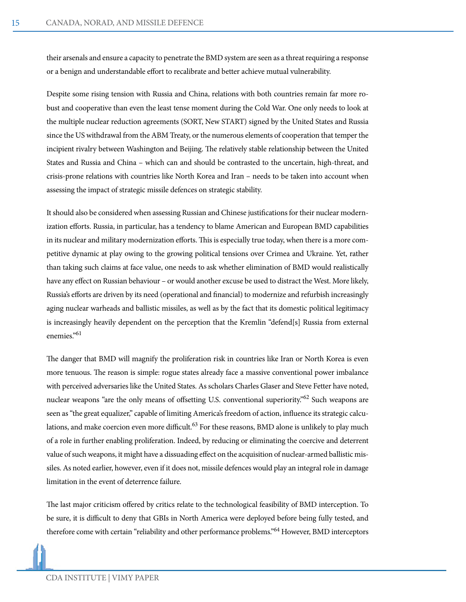their arsenals and ensure a capacity to penetrate the BMD system are seen as a threat requiring a response or a benign and understandable effort to recalibrate and better achieve mutual vulnerability.

Despite some rising tension with Russia and China, relations with both countries remain far more robust and cooperative than even the least tense moment during the Cold War. One only needs to look at the multiple nuclear reduction agreements (SORT, New START) signed by the United States and Russia since the US withdrawal from the ABM Treaty, or the numerous elements of cooperation that temper the incipient rivalry between Washington and Beijing. The relatively stable relationship between the United States and Russia and China – which can and should be contrasted to the uncertain, high-threat, and crisis-prone relations with countries like North Korea and Iran – needs to be taken into account when assessing the impact of strategic missile defences on strategic stability.

It should also be considered when assessing Russian and Chinese justifications for their nuclear modernization efforts. Russia, in particular, has a tendency to blame American and European BMD capabilities in its nuclear and military modernization efforts. This is especially true today, when there is a more competitive dynamic at play owing to the growing political tensions over Crimea and Ukraine. Yet, rather than taking such claims at face value, one needs to ask whether elimination of BMD would realistically have any effect on Russian behaviour – or would another excuse be used to distract the West. More likely, Russia's efforts are driven by its need (operational and financial) to modernize and refurbish increasingly aging nuclear warheads and ballistic missiles, as well as by the fact that its domestic political legitimacy is increasingly heavily dependent on the perception that the Kremlin "defend[s] Russia from external enemies."61

The danger that BMD will magnify the proliferation risk in countries like Iran or North Korea is even more tenuous. The reason is simple: rogue states already face a massive conventional power imbalance with perceived adversaries like the United States. As scholars Charles Glaser and Steve Fetter have noted, nuclear weapons "are the only means of offsetting U.S. conventional superiority."62 Such weapons are seen as "the great equalizer," capable of limiting America's freedom of action, influence its strategic calculations, and make coercion even more difficult.<sup>63</sup> For these reasons, BMD alone is unlikely to play much of a role in further enabling proliferation. Indeed, by reducing or eliminating the coercive and deterrent value of such weapons, it might have a dissuading effect on the acquisition of nuclear-armed ballistic missiles. As noted earlier, however, even if it does not, missile defences would play an integral role in damage limitation in the event of deterrence failure.

The last major criticism offered by critics relate to the technological feasibility of BMD interception. To be sure, it is difficult to deny that GBIs in North America were deployed before being fully tested, and therefore come with certain "reliability and other performance problems."64 However, BMD interceptors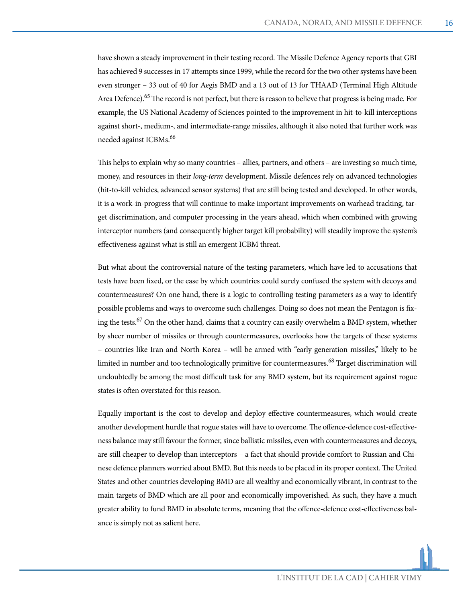have shown a steady improvement in their testing record. The Missile Defence Agency reports that GBI has achieved 9 successes in 17 attempts since 1999, while the record for the two other systems have been even stronger – 33 out of 40 for Aegis BMD and a 13 out of 13 for THAAD (Terminal High Altitude Area Defence).<sup>65</sup> The record is not perfect, but there is reason to believe that progress is being made. For example, the US National Academy of Sciences pointed to the improvement in hit-to-kill interceptions against short-, medium-, and intermediate-range missiles, although it also noted that further work was needed against ICBMs.<sup>66</sup>

This helps to explain why so many countries – allies, partners, and others – are investing so much time, money, and resources in their *long-term* development. Missile defences rely on advanced technologies (hit-to-kill vehicles, advanced sensor systems) that are still being tested and developed. In other words, it is a work-in-progress that will continue to make important improvements on warhead tracking, target discrimination, and computer processing in the years ahead, which when combined with growing interceptor numbers (and consequently higher target kill probability) will steadily improve the system's effectiveness against what is still an emergent ICBM threat.

But what about the controversial nature of the testing parameters, which have led to accusations that tests have been fixed, or the ease by which countries could surely confused the system with decoys and countermeasures? On one hand, there is a logic to controlling testing parameters as a way to identify possible problems and ways to overcome such challenges. Doing so does not mean the Pentagon is fixing the tests.<sup>67</sup> On the other hand, claims that a country can easily overwhelm a BMD system, whether by sheer number of missiles or through countermeasures, overlooks how the targets of these systems – countries like Iran and North Korea – will be armed with "early generation missiles," likely to be limited in number and too technologically primitive for countermeasures.<sup>68</sup> Target discrimination will undoubtedly be among the most difficult task for any BMD system, but its requirement against rogue states is often overstated for this reason.

Equally important is the cost to develop and deploy effective countermeasures, which would create another development hurdle that rogue states will have to overcome. The offence-defence cost-effectiveness balance may still favour the former, since ballistic missiles, even with countermeasures and decoys, are still cheaper to develop than interceptors – a fact that should provide comfort to Russian and Chinese defence planners worried about BMD. But this needs to be placed in its proper context. The United States and other countries developing BMD are all wealthy and economically vibrant, in contrast to the main targets of BMD which are all poor and economically impoverished. As such, they have a much greater ability to fund BMD in absolute terms, meaning that the offence-defence cost-effectiveness balance is simply not as salient here.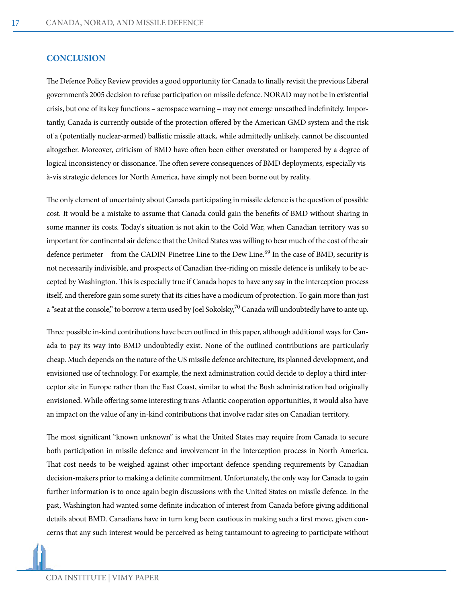#### **CONCLUSION**

The Defence Policy Review provides a good opportunity for Canada to finally revisit the previous Liberal government's 2005 decision to refuse participation on missile defence. NORAD may not be in existential crisis, but one of its key functions – aerospace warning – may not emerge unscathed indefinitely. Importantly, Canada is currently outside of the protection offered by the American GMD system and the risk of a (potentially nuclear-armed) ballistic missile attack, while admittedly unlikely, cannot be discounted altogether. Moreover, criticism of BMD have often been either overstated or hampered by a degree of logical inconsistency or dissonance. The often severe consequences of BMD deployments, especially visà-vis strategic defences for North America, have simply not been borne out by reality.

The only element of uncertainty about Canada participating in missile defence is the question of possible cost. It would be a mistake to assume that Canada could gain the benefits of BMD without sharing in some manner its costs. Today's situation is not akin to the Cold War, when Canadian territory was so important for continental air defence that the United States was willing to bear much of the cost of the air defence perimeter – from the CADIN-Pinetree Line to the Dew Line.<sup>69</sup> In the case of BMD, security is not necessarily indivisible, and prospects of Canadian free-riding on missile defence is unlikely to be accepted by Washington. This is especially true if Canada hopes to have any say in the interception process itself, and therefore gain some surety that its cities have a modicum of protection. To gain more than just a "seat at the console," to borrow a term used by Joel Sokolsky, $70$  Canada will undoubtedly have to ante up.

Three possible in-kind contributions have been outlined in this paper, although additional ways for Canada to pay its way into BMD undoubtedly exist. None of the outlined contributions are particularly cheap. Much depends on the nature of the US missile defence architecture, its planned development, and envisioned use of technology. For example, the next administration could decide to deploy a third interceptor site in Europe rather than the East Coast, similar to what the Bush administration had originally envisioned. While offering some interesting trans-Atlantic cooperation opportunities, it would also have an impact on the value of any in-kind contributions that involve radar sites on Canadian territory.

The most significant "known unknown" is what the United States may require from Canada to secure both participation in missile defence and involvement in the interception process in North America. That cost needs to be weighed against other important defence spending requirements by Canadian decision-makers prior to making a definite commitment. Unfortunately, the only way for Canada to gain further information is to once again begin discussions with the United States on missile defence. In the past, Washington had wanted some definite indication of interest from Canada before giving additional details about BMD. Canadians have in turn long been cautious in making such a first move, given concerns that any such interest would be perceived as being tantamount to agreeing to participate without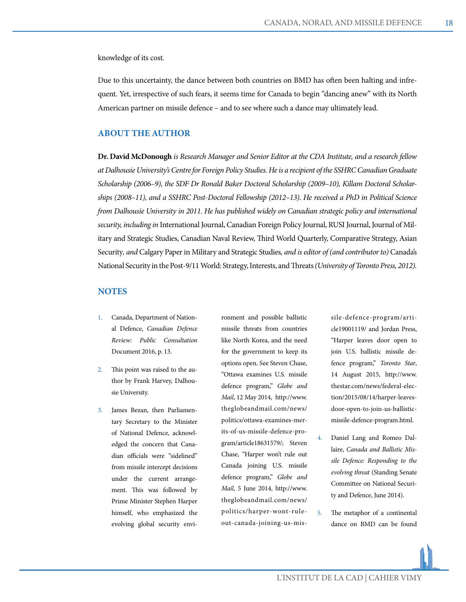knowledge of its cost.

Due to this uncertainty, the dance between both countries on BMD has often been halting and infrequent. Yet, irrespective of such fears, it seems time for Canada to begin "dancing anew" with its North American partner on missile defence – and to see where such a dance may ultimately lead.

#### **ABOUT THE AUTHOR**

**Dr. David McDonough** *is Research Manager and Senior Editor at the CDA Institute, and a research fellow at Dalhousie University's Centre for Foreign Policy Studies. He is a recipient of the SSHRC Canadian Graduate Scholarship (2006–9), the SDF Dr Ronald Baker Doctoral Scholarship (2009–10), Killam Doctoral Scholarships (2008–11), and a SSHRC Post-Doctoral Fellowship (2012–13). He received a PhD in Political Science from Dalhousie University in 2011. He has published widely on Canadian strategic policy and international security, including in* International Journal, Canadian Foreign Policy Journal, RUSI Journal, Journal of Military and Strategic Studies, Canadian Naval Review, Third World Quarterly, Comparative Strategy, Asian Security*, and* Calgary Paper in Military and Strategic Studies*, and is editor of (and contributor to)* Canada's National Security in the Post-9/11 World: Strategy, Interests, and Threats *(University of Toronto Press, 2012).*

#### **NOTES**

- 1. Canada, Department of National Defence, *Canadian Defence Review: Public Consultation*  Document 2016, p. 13.
- 2. This point was raised to the author by Frank Harvey, Dalhousie University.
- 3. James Bezan, then Parliamentary Secretary to the Minister of National Defence, acknowledged the concern that Canadian officials were "sidelined" from missile intercept decisions under the current arrangement. This was followed by Prime Minister Stephen Harper himself, who emphasized the evolving global security envi-

ronment and possible ballistic missile threats from countries like North Korea, and the need for the government to keep its options open. See Steven Chase, "Ottawa examines U.S. missile defence program," *Globe and Mail*, 12 May 2014, http://www. theglobeandmail.com/news/ politics/ottawa-examines-merits-of-us-missile-defence-program/article18631579/; Steven Chase, "Harper won't rule out Canada joining U.S. missile defence program," *Globe and Mail*, 5 June 2014, http://www. theglobeandmail.com/news/ politics/harper-wont-ruleout-canada-joining-us-missile-defence-program/article19001119/ and Jordan Press, "Harper leaves door open to join U.S. ballistic missile defence program," *Toronto Star*, 14 August 2015, http://www. thestar.com/news/federal-election/2015/08/14/harper-leavesdoor-open-to-join-us-ballisticmissile-defence-program.html.

- 4. Daniel Lang and Romeo Dallaire, *Canada and Ballistic Missile Defence: Responding to the evolving threat* (Standing Senate Committee on National Security and Defence, June 2014).
- 5. The metaphor of a continental dance on BMD can be found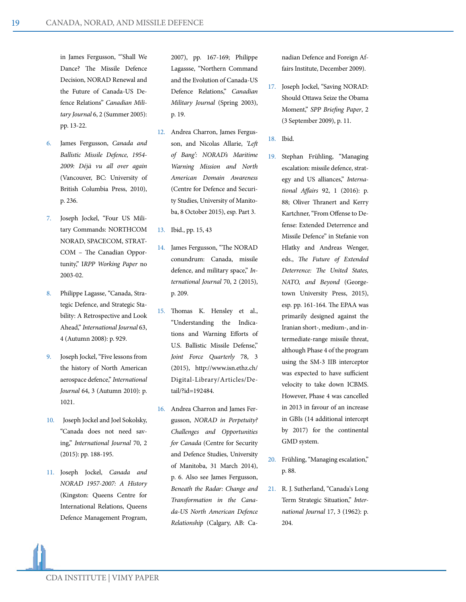in James Fergusson, "'Shall We Dance? The Missile Defence Decision, NORAD Renewal and the Future of Canada-US Defence Relations" *Canadian Military Journal* 6, 2 (Summer 2005): pp. 13-22.

- 6. James Fergusson, *Canada and Ballistic Missile Defence, 1954- 2009: Déjà vu all over again*  (Vancouver, BC: University of British Columbia Press, 2010), p. 236.
- 7. Joseph Jockel, "Four US Military Commands: NORTHCOM NORAD, SPACECOM, STRAT-COM – The Canadian Opportunity," I*RPP Working Paper* no 2003-02.
- 8. Philippe Lagasse, "Canada, Strategic Defence, and Strategic Stability: A Retrospective and Look Ahead," *International Journal* 63, 4 (Autumn 2008): p. 929.
- 9. Joseph Jockel, "Five lessons from the history of North American aerospace defence," *International Journal* 64, 3 (Autumn 2010): p. 1021.
- 10. Joseph Jockel and Joel Sokolsky, "Canada does not need saving," *International Journal* 70, 2 (2015): pp. 188-195.
- 11. Joseph Jockel, *Canada and NORAD 1957-2007: A History*  (Kingston: Queens Centre for International Relations, Queens Defence Management Program,

2007), pp. 167-169; Philippe Lagassse, "Northern Command and the Evolution of Canada-US Defence Relations," *Canadian Military Journal* (Spring 2003), p. 19.

- 12. Andrea Charron, James Fergusson, and Nicolas Allarie, *'Left of Bang': NORAD's Maritime Warning Mission and North American Domain Awareness*  (Centre for Defence and Security Studies, University of Manitoba, 8 October 2015), esp. Part 3.
- 13. Ibid., pp. 15, 43
- 14. James Fergusson, "The NORAD conundrum: Canada, missile defence, and military space," *International Journal* 70, 2 (2015), p. 209.
- 15. Thomas K. Hensley et al., "Understanding the Indications and Warning Efforts of U.S. Ballistic Missile Defense," *Joint Force Quarterly* 78, 3 (2015), http://www.isn.ethz.ch/ Digital-Library/Articles/Detail/?id=192484.
- 16. Andrea Charron and James Fergusson, *NORAD in Perpetuity? Challenges and Opportunities for Canada* (Centre for Security and Defence Studies, University of Manitoba, 31 March 2014), p. 6. Also see James Fergusson, *Beneath the Radar: Change and Transformation in the Canada-US North American Defence Relationship* (Calgary, AB: Ca-

nadian Defence and Foreign Affairs Institute, December 2009).

- 17. Joseph Jockel, "Saving NORAD: Should Ottawa Seize the Obama Moment," *SPP Briefing Paper*, 2 (3 September 2009), p. 11.
- 18. Ibid.
- 19. Stephan Frühling, "Managing escalation: missile defence, strategy and US alliances," *International Affairs* 92, 1 (2016): p. 88; Oliver Thranert and Kerry Kartchner, "From Offense to Defense: Extended Deterrence and Missile Defence" in Stefanie von Hlatky and Andreas Wenger, eds., *The Future of Extended Deterrence: The United States, NATO, and Beyond* (Georgetown University Press, 2015), esp. pp. 161-164. The EPAA was primarily designed against the Iranian short-, medium-, and intermediate-range missile threat, although Phase 4 of the program using the SM-3 IIB interceptor was expected to have sufficient velocity to take down ICBMS. However, Phase 4 was cancelled in 2013 in favour of an increase in GBIs (14 additional intercept by 2017) for the continental GMD system.
- 20. Frühling, "Managing escalation," p. 88.
- 21. R. J. Sutherland, "Canada's Long Term Strategic Situation," *International Journal* 17, 3 (1962): p. 204.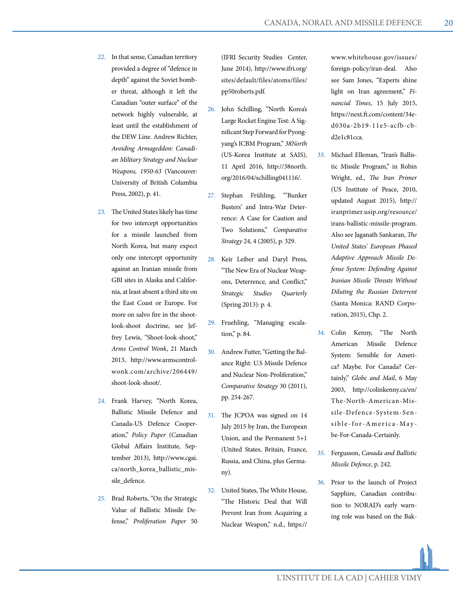- 22. In that sense, Canadian territory provided a degree of "defence in depth" against the Soviet bomber threat, although it left the Canadian "outer surface" of the network highly vulnerable, at least until the establishment of the DEW Line. Andrew Richter, *Avoiding Armageddon: Canadian Military Strategy and Nuclear Weapons, 1950-63* (Vancouver: University of British Columbia Press, 2002), p. 41.
- 23. The United States likely has time for two intercept opportunities for a missile launched from North Korea, but many expect only one intercept opportunity against an Iranian missile from GBI sites in Alaska and California, at least absent a third site on the East Coast or Europe. For more on salvo fire in the shootlook-shoot doctrine, see Jeffrey Lewis, "Shoot-look-shoot," *Arms Control Wonk*, 21 March 2013, http://www.armscontrolwonk.com/archive/206449/ shoot-look-shoot/.
- 24. Frank Harvey, "North Korea, Ballistic Missile Defence and Canada-US Defence Cooperation," *Policy Paper* (Canadian Global Affairs Institute, September 2013), http://www.cgai. ca/north\_korea\_ballistic\_missile\_defence.
- 25. Brad Roberts, "On the Strategic Value of Ballistic Missile Defense," *Proliferation Paper* 50

(IFRI Security Studies Center, June 2014), http://www.ifri.org/ sites/default/files/atoms/files/ pp50roberts.pdf.

- 26. John Schilling, "North Korea's Large Rocket Engine Test: A Significant Step Forward for Pyongyang's ICBM Program," *38North*  (US-Korea Institute at SAIS), 11 April 2016, http://38north. org/2016/04/schilling041116/.
- 27. Stephan Frühling, "'Bunker Busters' and Intra-War Deterrence: A Case for Caution and Two Solutions," *Comparative Strategy* 24, 4 (2005), p. 329.
- 28. Keir Leiber and Daryl Press, "The New Era of Nuclear Weapons, Deterrence, and Conflict," *Strategic Studies Quarterly*  (Spring 2013): p. 4.
- 29. Fruehling, "Managing escalation," p. 84.
- 30. Andrew Futter, "Getting the Balance Right: U.S Missile Defence and Nuclear Non-Proliferation," *Comparative Strategy* 30 (2011), pp. 254-267.
- 31. The JCPOA was signed on 14 July 2015 by Iran, the European Union, and the Permanent 5+1 (United States, Britain, France, Russia, and China, plus Germany).
- 32. United States, The White House, "The Historic Deal that Will Prevent Iran from Acquiring a Nuclear Weapon," n.d., https://

www.whitehouse.gov/issues/ foreign-policy/iran-deal. Also see Sam Jones, "Experts shine light on Iran agreement," *Financial Times*, 15 July 2015, https://next.ft.com/content/34ed030a-2b19-11e5-acfb-cbd2e1c81cca.

- 33. Michael Elleman, "Iran's Ballistic Missile Program," in Robin Wright, ed., *The Iran Primer* (US Institute of Peace, 2010, updated August 2015), http:// iranprimer.usip.org/resource/ irans-ballistic-missile-program. Also see Jaganath Sankaran, *The United States' European Phased Adaptive Approach Missile Defense System: Defending Against Iranian Missile Threats Without Diluting the Russian Deterrent*  (Santa Monica: RAND Corporation, 2015), Chp. 2.
- 34. Colin Kenny, "The North American Missile Defence System: Sensible for America? Maybe. For Canada? Certainly," *Globe and Mail*, 6 May 2003, http://colinkenny.ca/en/ The-North-American-Missile-Defence-System-Sensible-for-America-May be-For-Canada-Certainly.
- 35. Fergusson, *Canada and Ballistic Missile Defence*, p. 242.
- 36. Prior to the launch of Project Sapphire, Canadian contribution to NORAD's early warning role was based on the Bak-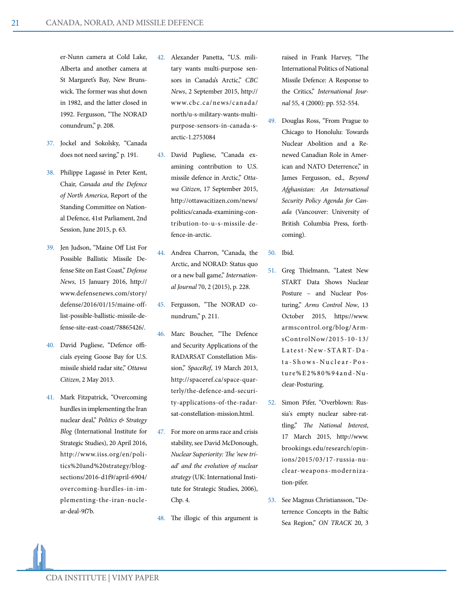er-Nunn camera at Cold Lake, Alberta and another camera at St Margaret's Bay, New Brunswick. The former was shut down in 1982, and the latter closed in 1992. Fergusson, "The NORAD conundrum," p. 208.

- 37. Jockel and Sokolsky, "Canada does not need saving," p. 191.
- 38. Philippe Lagassé in Peter Kent, Chair, *Canada and the Defence of North America*, Report of the Standing Committee on National Defence, 41st Parliament, 2nd Session, June 2015, p. 63.
- 39. Jen Judson, "Maine Off List For Possible Ballistic Missile Defense Site on East Coast," *Defense News*, 15 January 2016, http:// www.defensenews.com/story/ defense/2016/01/15/maine-offlist-possible-ballistic-missile-defense-site-east-coast/78865426/.
- 40. David Pugliese, "Defence officials eyeing Goose Bay for U.S. missile shield radar site," *Ottawa Citizen*, 2 May 2013.
- 41. Mark Fitzpatrick, "Overcoming hurdles in implementing the Iran nuclear deal," *Politics & Strategy Blog* (International Institute for Strategic Studies), 20 April 2016, http://www.iiss.org/en/politics%20and%20strategy/blogsections/2016-d1f9/april-6904/ overcoming-hurdles-in-implementing-the-iran-nuclear-deal-9f7b.
- 42. Alexander Panetta, "U.S. military wants multi-purpose sensors in Canada's Arctic," *CBC News*, 2 September 2015, http:// www.cbc.ca/news/canada/ north/u-s-military-wants-multipurpose-sensors-in-canada-sarctic-1.2753084
- 43. David Pugliese, "Canada examining contribution to U.S. missile defence in Arctic," *Ottawa Citizen*, 17 September 2015, http://ottawacitizen.com/news/ politics/canada-examining-contribution-to-u-s-missile-defence-in-arctic.
- 44. Andrea Charron, "Canada, the Arctic, and NORAD: Status quo or a new ball game," *International Journal* 70, 2 (2015), p. 228.
- 45. Fergusson, "The NORAD conundrum," p. 211.
- 46. Marc Boucher, "The Defence and Security Applications of the RADARSAT Constellation Mission," *SpaceRef*, 19 March 2013, http://spaceref.ca/space-quarterly/the-defence-and-security-applications-of-the-radarsat-constellation-mission.html.
- 47. For more on arms race and crisis stability, see David McDonough, *Nuclear Superiority: The 'new triad' and the evolution of nuclear strategy* (UK: International Institute for Strategic Studies, 2006), Chp. 4.
- 48. The illogic of this argument is

raised in Frank Harvey, "The International Politics of National Missile Defence: A Response to the Critics," *International Journal* 55, 4 (2000): pp. 552-554.

- 49. Douglas Ross, "From Prague to Chicago to Honolulu: Towards Nuclear Abolition and a Renewed Canadian Role in American and NATO Deterrence," in James Fergusson, ed., *Beyond Afghanistan: An International Security Policy Agenda for Canada* (Vancouver: University of British Columbia Press, forthcoming).
- 50. Ibid.
- 51. Greg Thielmann, "Latest New START Data Shows Nuclear Posture – and Nuclear Posturing," *Arms Control Now*, 13 October 2015, https://www. armscontrol.org/blog/ArmsControlNow/2015-10-13/ Latest-New-START-Da ta-Shows-Nuclear-Posture%E2%80%94and-Nuclear-Posturing.
- 52. Simon Pifer, "Overblown: Russia's empty nuclear sabre-rattling," *The National Interest*, 17 March 2015, http://www. brookings.edu/research/opinions/2015/03/17-russia-nuclear-weapons-modernization-pifer.
- 53. See Magnus Christiansson, "Deterrence Concepts in the Baltic Sea Region," *ON TRACK* 20, 3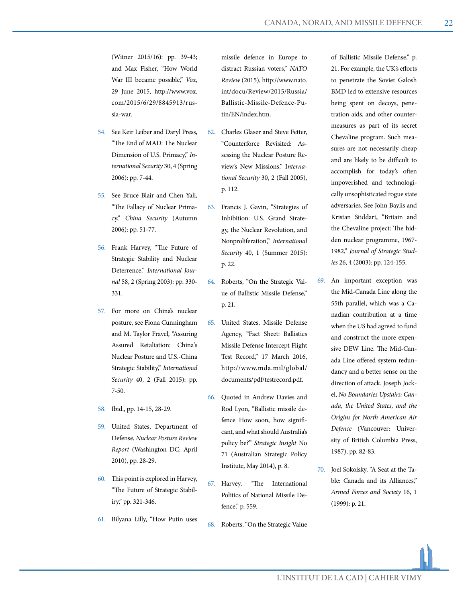(Witner 2015/16): pp. 39-43; and Max Fisher, "How World War III became possible," *Vox*, 29 June 2015, http://www.vox. com/2015/6/29/8845913/russia-war.

- 54. See Keir Leiber and Daryl Press, "The End of MAD: The Nuclear Dimension of U.S. Primacy," *International Security* 30, 4 (Spring 2006): pp. 7-44.
- 55. See Bruce Blair and Chen Yali, "The Fallacy of Nuclear Primacy," *China Security* (Autumn 2006): pp. 51-77.
- 56. Frank Harvey, "The Future of Strategic Stability and Nuclear Deterrence," *International Journal* 58, 2 (Spring 2003): pp. 330- 331.
- 57. For more on China's nuclear posture, see Fiona Cunningham and M. Taylor Fravel, "Assuring Assured Retaliation: China's Nuclear Posture and U.S.-China Strategic Stability," *International Security* 40, 2 (Fall 2015): pp. 7-50.
- 58. Ibid., pp. 14-15, 28-29.
- 59. United States, Department of Defense, *Nuclear Posture Review Report* (Washington DC: April 2010), pp. 28-29.
- 60. This point is explored in Harvey, "The Future of Strategic Stabiliry," pp. 321-346.
- 61. Bilyana Lilly, "How Putin uses

missile defence in Europe to distract Russian voters," *NATO Review* (2015), http://www.nato. int/docu/Review/2015/Russia/ Ballistic-Missile-Defence-Putin/EN/index.htm.

- 62. Charles Glaser and Steve Fetter, "Counterforce Revisited: Assessing the Nuclear Posture Review's New Missions," I*nternational Security* 30, 2 (Fall 2005), p. 112.
- 63. Francis J. Gavin, "Strategies of Inhibition: U.S. Grand Strategy, the Nuclear Revolution, and Nonproliferation," *International Security* 40, 1 (Summer 2015): p. 22.
- 64. Roberts, "On the Strategic Value of Ballistic Missile Defense," p. 21.
- 65. United States, Missile Defense Agency, "Fact Sheet: Ballistics Missile Defense Intercept Flight Test Record," 17 March 2016, http://www.mda.mil/global/ documents/pdf/testrecord.pdf.
- 66. Quoted in Andrew Davies and Rod Lyon, "Ballistic missile defence How soon, how significant, and what should Australia's policy be?" *Strategic Insight* No 71 (Australian Strategic Policy Institute, May 2014), p. 8.
- 67. Harvey, "The International Politics of National Missile Defence," p. 559.
- 68. Roberts, "On the Strategic Value

of Ballistic Missile Defense," p. 21. For example, the UK's efforts to penetrate the Soviet Galosh BMD led to extensive resources being spent on decoys, penetration aids, and other countermeasures as part of its secret Chevaline program. Such measures are not necessarily cheap and are likely to be difficult to accomplish for today's often impoverished and technologically unsophisticated rogue state adversaries. See John Baylis and Kristan Stiddart, "Britain and the Chevaline project: The hidden nuclear programme, 1967- 1982," *Journal of Strategic Studies* 26, 4 (2003): pp. 124-155.

- 69. An important exception was the Mid-Canada Line along the 55th parallel, which was a Canadian contribution at a time when the US had agreed to fund and construct the more expensive DEW Line. The Mid-Canada Line offered system redundancy and a better sense on the direction of attack. Joseph Jockel, *No Boundaries Upstairs: Canada, the United States, and the Origins for North American Air Defence* (Vancouver: University of British Columbia Press, 1987), pp. 82-83.
- 70. Joel Sokolsky, "A Seat at the Table: Canada and its Alliances," *Armed Forces and Society* 16, 1 (1999): p. 21.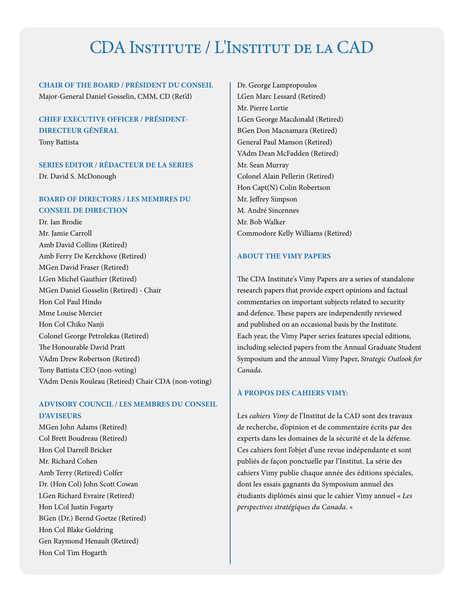## CDA Institute / L'Institut de la CAD

**CHAIR OF THE BOARD / PRÉSIDENT DU CONSEIL** Major-General Daniel Gosselin, CMM, CD (Ret'd)

#### **CHIEF EXECUTIVE OFFICER / PRÉSIDENT-DIRECTEUR GÉNÉRAL**

Tony Battista

**SERIES EDITOR / RÉDACTEUR DE LA SERIES** Dr. David S. McDonough

#### **BOARD OF DIRECTORS / LES MEMBRES DU CONSEIL DE DIRECTION**

Dr. Ian Brodie Mr. Jamie Carroll Amb David Collins (Retired) Amb Ferry De Kerckhove (Retired) MGen David Fraser (Retired) LGen Michel Gauthier (Retired) MGen Daniel Gosselin (Retired) - Chair Hon Col Paul Hindo Mme Louise Mercier Hon Col Chiko Nanji Colonel George Petrolekas (Retired) The Honourable David Pratt VAdm Drew Robertson (Retired) Tony Battista CEO (non-voting) VAdm Denis Rouleau (Retired) Chair CDA (non-voting)

#### **ADVISORY COUNCIL / LES MEMBRES DU CONSEIL D'AVISEURS**

MGen John Adams (Retired) Col Brett Boudreau (Retired) Hon Col Darrell Bricker Mr. Richard Cohen Amb Terry (Retired) Colfer Dr. (Hon Col) John Scott Cowan LGen Richard Evraire (Retired) Hon LCol Justin Fogarty BGen (Dr.) Bernd Goetze (Retired) Hon Col Blake Goldring Gen Raymond Henault (Retired) Hon Col Tim Hogarth

Dr. George Lampropoulos LGen Marc Lessard (Retired) Mr. Pierre Lortie LGen George Macdonald (Retired) BGen Don Macnamara (Retired) General Paul Manson (Retired) VAdm Dean McFadden (Retired) Mr. Sean Murray Colonel Alain Pellerin (Retired) Hon Capt(N) Colin Robertson Mr. Jeffrey Simpson M. André Sincennes Mr. Bob Walker Commodore Kelly Williams (Retired)

#### **ABOUT THE VIMY PAPERS**

The CDA Institute's Vimy Papers are a series of standalone research papers that provide expert opinions and factual commentaries on important subjects related to security and defence. These papers are independently reviewed and published on an occasional basis by the Institute. Each year, the Vimy Paper series features special editions, including selected papers from the Annual Graduate Student Symposium and the annual Vimy Paper, *Strategic Outlook for Canada*.

#### **À PROPOS DES CAHIERS VIMY:**

Les *cahiers Vimy* de l'Institut de la CAD sont des travaux de recherche, d'opinion et de commentaire écrits par des experts dans les domaines de la sécurité et de la défense. Ces cahiers font l'objet d'une revue indépendante et sont publiés de façon ponctuelle par l'Institut. La série des cahiers Vimy publie chaque année des éditions spéciales, dont les essais gagnants du Symposium annuel des étudiants diplômés ainsi que le cahier Vimy annuel « *Les perspectives stratégiques du Canada*. »